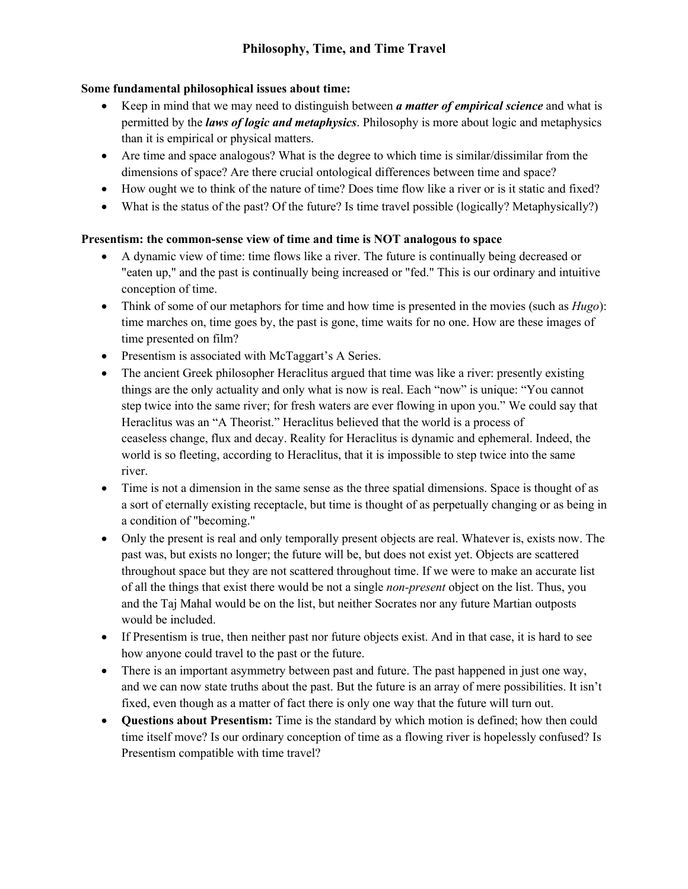## **Some fundamental philosophical issues about time:**

- Keep in mind that we may need to distinguish between *a matter of empirical science* and what is permitted by the *laws of logic and metaphysics*. Philosophy is more about logic and metaphysics than it is empirical or physical matters.
- Are time and space analogous? What is the degree to which time is similar/dissimilar from the dimensions of space? Are there crucial ontological differences between time and space?
- How ought we to think of the nature of time? Does time flow like a river or is it static and fixed?
- What is the status of the past? Of the future? Is time travel possible (logically? Metaphysically?)

## **Presentism: the common-sense view of time and time is NOT analogous to space**

- A dynamic view of time: time flows like a river. The future is continually being decreased or "eaten up," and the past is continually being increased or "fed." This is our ordinary and intuitive conception of time.
- Think of some of our metaphors for time and how time is presented in the movies (such as *Hugo*): time marches on, time goes by, the past is gone, time waits for no one. How are these images of time presented on film?
- Presentism is associated with McTaggart's A Series.
- The ancient Greek philosopher Heraclitus argued that time was like a river: presently existing things are the only actuality and only what is now is real. Each "now" is unique: "You cannot step twice into the same river; for fresh waters are ever flowing in upon you." We could say that Heraclitus was an "A Theorist." Heraclitus believed that the world is a process of ceaseless change, flux and decay. Reality for Heraclitus is dynamic and ephemeral. Indeed, the world is so fleeting, according to Heraclitus, that it is impossible to step twice into the same river.
- Time is not a dimension in the same sense as the three spatial dimensions. Space is thought of as a sort of eternally existing receptacle, but time is thought of as perpetually changing or as being in a condition of "becoming."
- Only the present is real and only temporally present objects are real. Whatever is, exists now. The past was, but exists no longer; the future will be, but does not exist yet. Objects are scattered throughout space but they are not scattered throughout time. If we were to make an accurate list of all the things that exist there would be not a single *non-present* object on the list. Thus, you and the Taj Mahal would be on the list, but neither Socrates nor any future Martian outposts would be included.
- If Presentism is true, then neither past nor future objects exist. And in that case, it is hard to see how anyone could travel to the past or the future.
- There is an important asymmetry between past and future. The past happened in just one way, and we can now state truths about the past. But the future is an array of mere possibilities. It isn't fixed, even though as a matter of fact there is only one way that the future will turn out.
- **Questions about Presentism:** Time is the standard by which motion is defined; how then could time itself move? Is our ordinary conception of time as a flowing river is hopelessly confused? Is Presentism compatible with time travel?